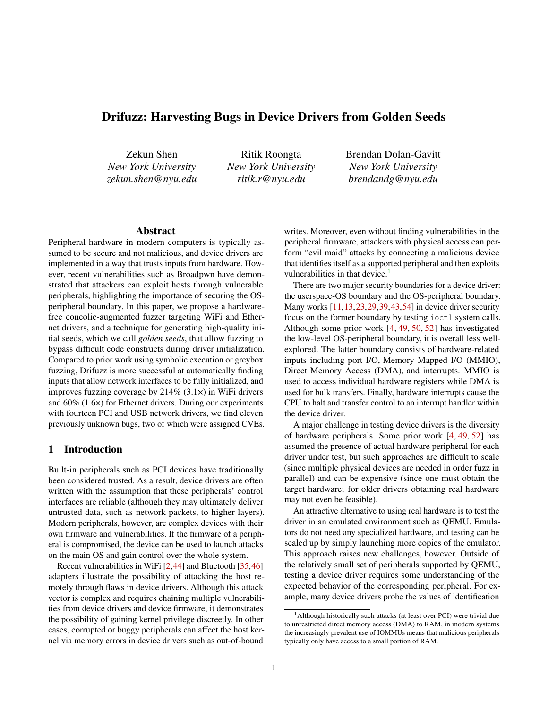# Drifuzz: Harvesting Bugs in Device Drivers from Golden Seeds

Zekun Shen *New York University zekun.shen@nyu.edu*

Ritik Roongta *New York University ritik.r@nyu.edu*

Brendan Dolan-Gavitt *New York University brendandg@nyu.edu*

#### Abstract

Peripheral hardware in modern computers is typically assumed to be secure and not malicious, and device drivers are implemented in a way that trusts inputs from hardware. However, recent vulnerabilities such as Broadpwn have demonstrated that attackers can exploit hosts through vulnerable peripherals, highlighting the importance of securing the OSperipheral boundary. In this paper, we propose a hardwarefree concolic-augmented fuzzer targeting WiFi and Ethernet drivers, and a technique for generating high-quality initial seeds, which we call *golden seeds*, that allow fuzzing to bypass difficult code constructs during driver initialization. Compared to prior work using symbolic execution or greybox fuzzing, Drifuzz is more successful at automatically finding inputs that allow network interfaces to be fully initialized, and improves fuzzing coverage by 214% (3.1×) in WiFi drivers and 60% (1.6×) for Ethernet drivers. During our experiments with fourteen PCI and USB network drivers, we find eleven previously unknown bugs, two of which were assigned CVEs.

### 1 Introduction

Built-in peripherals such as PCI devices have traditionally been considered trusted. As a result, device drivers are often written with the assumption that these peripherals' control interfaces are reliable (although they may ultimately deliver untrusted data, such as network packets, to higher layers). Modern peripherals, however, are complex devices with their own firmware and vulnerabilities. If the firmware of a peripheral is compromised, the device can be used to launch attacks on the main OS and gain control over the whole system.

Recent vulnerabilities in WiFi [\[2](#page-13-0)[,44\]](#page-14-0) and Bluetooth [\[35,](#page-14-1)[46\]](#page-14-2) adapters illustrate the possibility of attacking the host remotely through flaws in device drivers. Although this attack vector is complex and requires chaining multiple vulnerabilities from device drivers and device firmware, it demonstrates the possibility of gaining kernel privilege discreetly. In other cases, corrupted or buggy peripherals can affect the host kernel via memory errors in device drivers such as out-of-bound

writes. Moreover, even without finding vulnerabilities in the peripheral firmware, attackers with physical access can perform "evil maid" attacks by connecting a malicious device that identifies itself as a supported peripheral and then exploits vulnerabilities in that device. $<sup>1</sup>$  $<sup>1</sup>$  $<sup>1</sup>$ </sup>

There are two major security boundaries for a device driver: the userspace-OS boundary and the OS-peripheral boundary. Many works [\[11,](#page-13-1)[13,](#page-13-2)[23,](#page-13-3)[29,](#page-14-3)[39,](#page-14-4)[43,](#page-14-5)[54\]](#page-15-0) in device driver security focus on the former boundary by testing ioctl system calls. Although some prior work [\[4,](#page-13-4) [49,](#page-15-1) [50,](#page-15-2) [52\]](#page-15-3) has investigated the low-level OS-peripheral boundary, it is overall less wellexplored. The latter boundary consists of hardware-related inputs including port I/O, Memory Mapped I/O (MMIO), Direct Memory Access (DMA), and interrupts. MMIO is used to access individual hardware registers while DMA is used for bulk transfers. Finally, hardware interrupts cause the CPU to halt and transfer control to an interrupt handler within the device driver.

A major challenge in testing device drivers is the diversity of hardware peripherals. Some prior work [\[4,](#page-13-4) [49,](#page-15-1) [52\]](#page-15-3) has assumed the presence of actual hardware peripheral for each driver under test, but such approaches are difficult to scale (since multiple physical devices are needed in order fuzz in parallel) and can be expensive (since one must obtain the target hardware; for older drivers obtaining real hardware may not even be feasible).

An attractive alternative to using real hardware is to test the driver in an emulated environment such as QEMU. Emulators do not need any specialized hardware, and testing can be scaled up by simply launching more copies of the emulator. This approach raises new challenges, however. Outside of the relatively small set of peripherals supported by QEMU, testing a device driver requires some understanding of the expected behavior of the corresponding peripheral. For example, many device drivers probe the values of identification

<span id="page-0-0"></span><sup>&</sup>lt;sup>1</sup>Although historically such attacks (at least over PCI) were trivial due to unrestricted direct memory access (DMA) to RAM, in modern systems the increasingly prevalent use of IOMMUs means that malicious peripherals typically only have access to a small portion of RAM.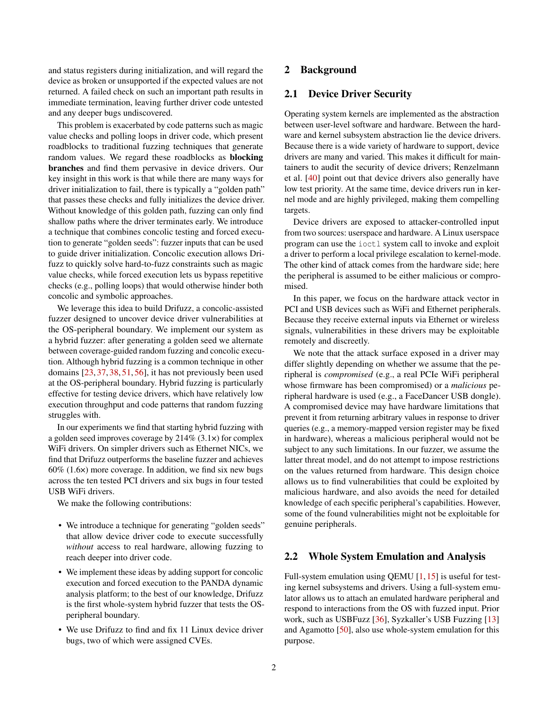and status registers during initialization, and will regard the device as broken or unsupported if the expected values are not returned. A failed check on such an important path results in immediate termination, leaving further driver code untested and any deeper bugs undiscovered.

This problem is exacerbated by code patterns such as magic value checks and polling loops in driver code, which present roadblocks to traditional fuzzing techniques that generate random values. We regard these roadblocks as blocking branches and find them pervasive in device drivers. Our key insight in this work is that while there are many ways for driver initialization to fail, there is typically a "golden path" that passes these checks and fully initializes the device driver. Without knowledge of this golden path, fuzzing can only find shallow paths where the driver terminates early. We introduce a technique that combines concolic testing and forced execution to generate "golden seeds": fuzzer inputs that can be used to guide driver initialization. Concolic execution allows Drifuzz to quickly solve hard-to-fuzz constraints such as magic value checks, while forced execution lets us bypass repetitive checks (e.g., polling loops) that would otherwise hinder both concolic and symbolic approaches.

We leverage this idea to build Drifuzz, a concolic-assisted fuzzer designed to uncover device driver vulnerabilities at the OS-peripheral boundary. We implement our system as a hybrid fuzzer: after generating a golden seed we alternate between coverage-guided random fuzzing and concolic execution. Although hybrid fuzzing is a common technique in other domains [\[23,](#page-13-3) [37,](#page-14-6) [38,](#page-14-7) [51,](#page-15-4) [56\]](#page-15-5), it has not previously been used at the OS-peripheral boundary. Hybrid fuzzing is particularly effective for testing device drivers, which have relatively low execution throughput and code patterns that random fuzzing struggles with.

In our experiments we find that starting hybrid fuzzing with a golden seed improves coverage by 214% (3.1×) for complex WiFi drivers. On simpler drivers such as Ethernet NICs, we find that Drifuzz outperforms the baseline fuzzer and achieves 60% (1.6×) more coverage. In addition, we find six new bugs across the ten tested PCI drivers and six bugs in four tested USB WiFi drivers.

We make the following contributions:

- We introduce a technique for generating "golden seeds" that allow device driver code to execute successfully *without* access to real hardware, allowing fuzzing to reach deeper into driver code.
- We implement these ideas by adding support for concolic execution and forced execution to the PANDA dynamic analysis platform; to the best of our knowledge, Drifuzz is the first whole-system hybrid fuzzer that tests the OSperipheral boundary.
- We use Drifuzz to find and fix 11 Linux device driver bugs, two of which were assigned CVEs.

# 2 Background

### 2.1 Device Driver Security

Operating system kernels are implemented as the abstraction between user-level software and hardware. Between the hardware and kernel subsystem abstraction lie the device drivers. Because there is a wide variety of hardware to support, device drivers are many and varied. This makes it difficult for maintainers to audit the security of device drivers; Renzelmann et al. [\[40\]](#page-14-8) point out that device drivers also generally have low test priority. At the same time, device drivers run in kernel mode and are highly privileged, making them compelling targets.

Device drivers are exposed to attacker-controlled input from two sources: userspace and hardware. A Linux userspace program can use the ioctl system call to invoke and exploit a driver to perform a local privilege escalation to kernel-mode. The other kind of attack comes from the hardware side; here the peripheral is assumed to be either malicious or compromised.

In this paper, we focus on the hardware attack vector in PCI and USB devices such as WiFi and Ethernet peripherals. Because they receive external inputs via Ethernet or wireless signals, vulnerabilities in these drivers may be exploitable remotely and discreetly.

We note that the attack surface exposed in a driver may differ slightly depending on whether we assume that the peripheral is *compromised* (e.g., a real PCIe WiFi peripheral whose firmware has been compromised) or a *malicious* peripheral hardware is used (e.g., a FaceDancer USB dongle). A compromised device may have hardware limitations that prevent it from returning arbitrary values in response to driver queries (e.g., a memory-mapped version register may be fixed in hardware), whereas a malicious peripheral would not be subject to any such limitations. In our fuzzer, we assume the latter threat model, and do not attempt to impose restrictions on the values returned from hardware. This design choice allows us to find vulnerabilities that could be exploited by malicious hardware, and also avoids the need for detailed knowledge of each specific peripheral's capabilities. However, some of the found vulnerabilities might not be exploitable for genuine peripherals.

### 2.2 Whole System Emulation and Analysis

Full-system emulation using QEMU [\[1,](#page-12-0) [15\]](#page-13-5) is useful for testing kernel subsystems and drivers. Using a full-system emulator allows us to attach an emulated hardware peripheral and respond to interactions from the OS with fuzzed input. Prior work, such as USBFuzz [\[36\]](#page-14-9), Syzkaller's USB Fuzzing [\[13\]](#page-13-2) and Agamotto [\[50\]](#page-15-2), also use whole-system emulation for this purpose.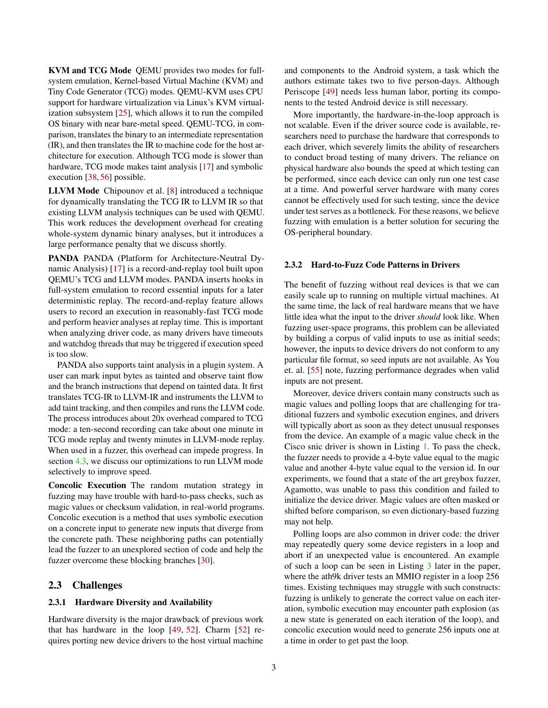KVM and TCG Mode QEMU provides two modes for fullsystem emulation, Kernel-based Virtual Machine (KVM) and Tiny Code Generator (TCG) modes. QEMU-KVM uses CPU support for hardware virtualization via Linux's KVM virtualization subsystem [\[25\]](#page-14-10), which allows it to run the compiled OS binary with near bare-metal speed. QEMU-TCG, in comparison, translates the binary to an intermediate representation (IR), and then translates the IR to machine code for the host architecture for execution. Although TCG mode is slower than hardware, TCG mode makes taint analysis [\[17\]](#page-13-6) and symbolic execution [\[38,](#page-14-7) [56\]](#page-15-5) possible.

LLVM Mode Chipounov et al. [\[8\]](#page-13-7) introduced a technique for dynamically translating the TCG IR to LLVM IR so that existing LLVM analysis techniques can be used with QEMU. This work reduces the development overhead for creating whole-system dynamic binary analyses, but it introduces a large performance penalty that we discuss shortly.

PANDA PANDA (Platform for Architecture-Neutral Dynamic Analysis) [\[17\]](#page-13-6) is a record-and-replay tool built upon QEMU's TCG and LLVM modes. PANDA inserts hooks in full-system emulation to record essential inputs for a later deterministic replay. The record-and-replay feature allows users to record an execution in reasonably-fast TCG mode and perform heavier analyses at replay time. This is important when analyzing driver code, as many drivers have timeouts and watchdog threads that may be triggered if execution speed is too slow.

PANDA also supports taint analysis in a plugin system. A user can mark input bytes as tainted and observe taint flow and the branch instructions that depend on tainted data. It first translates TCG-IR to LLVM-IR and instruments the LLVM to add taint tracking, and then compiles and runs the LLVM code. The process introduces about 20x overhead compared to TCG mode: a ten-second recording can take about one minute in TCG mode replay and twenty minutes in LLVM-mode replay. When used in a fuzzer, this overhead can impede progress. In section [4.3,](#page-6-0) we discuss our optimizations to run LLVM mode selectively to improve speed.

Concolic Execution The random mutation strategy in fuzzing may have trouble with hard-to-pass checks, such as magic values or checksum validation, in real-world programs. Concolic execution is a method that uses symbolic execution on a concrete input to generate new inputs that diverge from the concrete path. These neighboring paths can potentially lead the fuzzer to an unexplored section of code and help the fuzzer overcome these blocking branches [\[30\]](#page-14-11).

### 2.3 Challenges

#### 2.3.1 Hardware Diversity and Availability

Hardware diversity is the major drawback of previous work that has hardware in the loop [\[49,](#page-15-1) [52\]](#page-15-3). Charm [\[52\]](#page-15-3) requires porting new device drivers to the host virtual machine

and components to the Android system, a task which the authors estimate takes two to five person-days. Although Periscope [\[49\]](#page-15-1) needs less human labor, porting its components to the tested Android device is still necessary.

More importantly, the hardware-in-the-loop approach is not scalable. Even if the driver source code is available, researchers need to purchase the hardware that corresponds to each driver, which severely limits the ability of researchers to conduct broad testing of many drivers. The reliance on physical hardware also bounds the speed at which testing can be performed, since each device can only run one test case at a time. And powerful server hardware with many cores cannot be effectively used for such testing, since the device under test serves as a bottleneck. For these reasons, we believe fuzzing with emulation is a better solution for securing the OS-peripheral boundary.

### <span id="page-2-0"></span>2.3.2 Hard-to-Fuzz Code Patterns in Drivers

The benefit of fuzzing without real devices is that we can easily scale up to running on multiple virtual machines. At the same time, the lack of real hardware means that we have little idea what the input to the driver *should* look like. When fuzzing user-space programs, this problem can be alleviated by building a corpus of valid inputs to use as initial seeds; however, the inputs to device drivers do not conform to any particular file format, so seed inputs are not available. As You et. al. [\[55\]](#page-15-6) note, fuzzing performance degrades when valid inputs are not present.

Moreover, device drivers contain many constructs such as magic values and polling loops that are challenging for traditional fuzzers and symbolic execution engines, and drivers will typically abort as soon as they detect unusual responses from the device. An example of a magic value check in the Cisco snic driver is shown in Listing [1.](#page-3-0) To pass the check, the fuzzer needs to provide a 4-byte value equal to the magic value and another 4-byte value equal to the version id. In our experiments, we found that a state of the art greybox fuzzer, Agamotto, was unable to pass this condition and failed to initialize the device driver. Magic values are often masked or shifted before comparison, so even dictionary-based fuzzing may not help.

Polling loops are also common in driver code: the driver may repeatedly query some device registers in a loop and abort if an unexpected value is encountered. An example of such a loop can be seen in Listing [3](#page-5-0) later in the paper, where the ath9k driver tests an MMIO register in a loop 256 times. Existing techniques may struggle with such constructs: fuzzing is unlikely to generate the correct value on each iteration, symbolic execution may encounter path explosion (as a new state is generated on each iteration of the loop), and concolic execution would need to generate 256 inputs one at a time in order to get past the loop.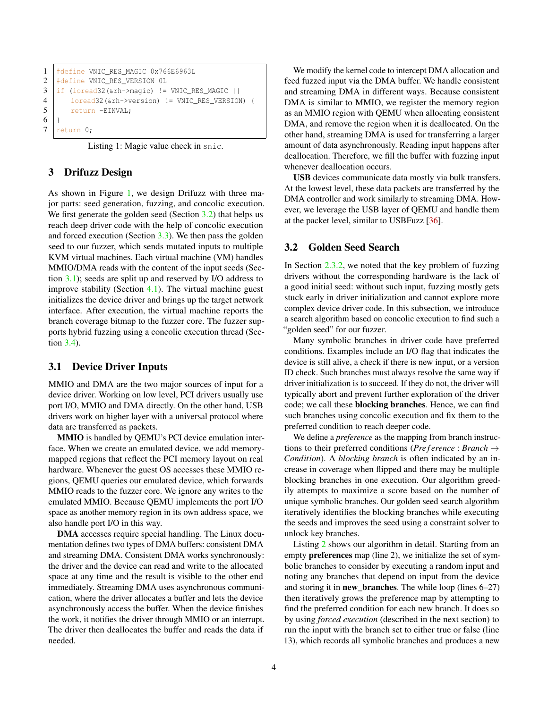```
1 | #define VNIC_RES_MAGIC 0x766E6963L
2 #define VNIC_RES_VERSION 0L
3 \text{ if} (ioread32(&rh->magic) != VNIC_RES_MAGIC ||
4 ioread32(&rh->version) != VNIC_RES_VERSION) {
5 return -EINVAL;
6 |7 return 0;
```
Listing 1: Magic value check in snic.

### 3 Drifuzz Design

As shown in Figure [1,](#page-4-0) we design Drifuzz with three major parts: seed generation, fuzzing, and concolic execution. We first generate the golden seed (Section [3.2\)](#page-3-1) that helps us reach deep driver code with the help of concolic execution and forced execution (Section [3.3\)](#page-4-1). We then pass the golden seed to our fuzzer, which sends mutated inputs to multiple KVM virtual machines. Each virtual machine (VM) handles MMIO/DMA reads with the content of the input seeds (Section [3.1\)](#page-3-2); seeds are split up and reserved by I/O address to improve stability (Section [4.1\)](#page-5-1). The virtual machine guest initializes the device driver and brings up the target network interface. After execution, the virtual machine reports the branch coverage bitmap to the fuzzer core. The fuzzer supports hybrid fuzzing using a concolic execution thread (Section [3.4\)](#page-5-2).

### <span id="page-3-2"></span>3.1 Device Driver Inputs

MMIO and DMA are the two major sources of input for a device driver. Working on low level, PCI drivers usually use port I/O, MMIO and DMA directly. On the other hand, USB drivers work on higher layer with a universal protocol where data are transferred as packets.

MMIO is handled by QEMU's PCI device emulation interface. When we create an emulated device, we add memorymapped regions that reflect the PCI memory layout on real hardware. Whenever the guest OS accesses these MMIO regions, QEMU queries our emulated device, which forwards MMIO reads to the fuzzer core. We ignore any writes to the emulated MMIO. Because QEMU implements the port I/O space as another memory region in its own address space, we also handle port I/O in this way.

DMA accesses require special handling. The Linux documentation defines two types of DMA buffers: consistent DMA and streaming DMA. Consistent DMA works synchronously: the driver and the device can read and write to the allocated space at any time and the result is visible to the other end immediately. Streaming DMA uses asynchronous communication, where the driver allocates a buffer and lets the device asynchronously access the buffer. When the device finishes the work, it notifies the driver through MMIO or an interrupt. The driver then deallocates the buffer and reads the data if needed.

We modify the kernel code to intercept DMA allocation and feed fuzzed input via the DMA buffer. We handle consistent and streaming DMA in different ways. Because consistent DMA is similar to MMIO, we register the memory region as an MMIO region with QEMU when allocating consistent DMA, and remove the region when it is deallocated. On the other hand, streaming DMA is used for transferring a larger amount of data asynchronously. Reading input happens after deallocation. Therefore, we fill the buffer with fuzzing input whenever deallocation occurs.

USB devices communicate data mostly via bulk transfers. At the lowest level, these data packets are transferred by the DMA controller and work similarly to streaming DMA. However, we leverage the USB layer of QEMU and handle them at the packet level, similar to USBFuzz [\[36\]](#page-14-9).

### <span id="page-3-1"></span>3.2 Golden Seed Search

In Section [2.3.2,](#page-2-0) we noted that the key problem of fuzzing drivers without the corresponding hardware is the lack of a good initial seed: without such input, fuzzing mostly gets stuck early in driver initialization and cannot explore more complex device driver code. In this subsection, we introduce a search algorithm based on concolic execution to find such a "golden seed" for our fuzzer.

Many symbolic branches in driver code have preferred conditions. Examples include an I/O flag that indicates the device is still alive, a check if there is new input, or a version ID check. Such branches must always resolve the same way if driver initialization is to succeed. If they do not, the driver will typically abort and prevent further exploration of the driver code; we call these blocking branches. Hence, we can find such branches using concolic execution and fix them to the preferred condition to reach deeper code.

We define a *preference* as the mapping from branch instructions to their preferred conditions (*Pre f erence* : *Branch* → *Condition*). A *blocking branch* is often indicated by an increase in coverage when flipped and there may be multiple blocking branches in one execution. Our algorithm greedily attempts to maximize a score based on the number of unique symbolic branches. Our golden seed search algorithm iteratively identifies the blocking branches while executing the seeds and improves the seed using a constraint solver to unlock key branches.

Listing [2](#page-4-2) shows our algorithm in detail. Starting from an empty preferences map (line 2), we initialize the set of symbolic branches to consider by executing a random input and noting any branches that depend on input from the device and storing it in **new** branches. The while loop (lines  $6-27$ ) then iteratively grows the preference map by attempting to find the preferred condition for each new branch. It does so by using *forced execution* (described in the next section) to run the input with the branch set to either true or false (line 13), which records all symbolic branches and produces a new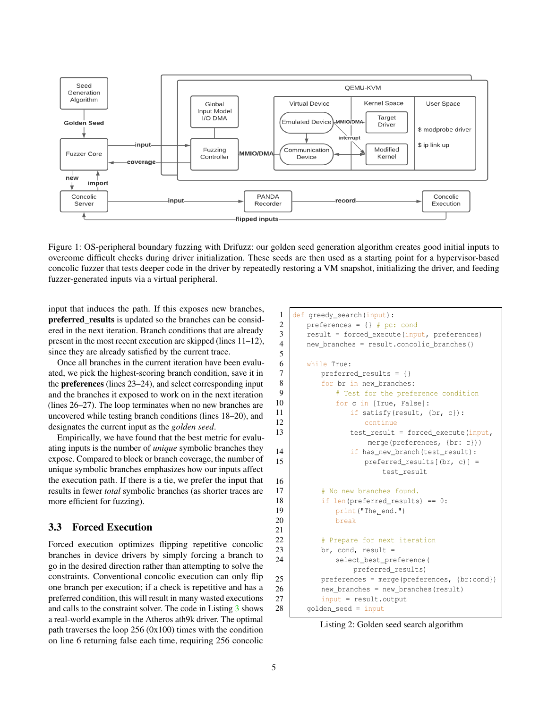<span id="page-4-0"></span>

Figure 1: OS-peripheral boundary fuzzing with Drifuzz: our golden seed generation algorithm creates good initial inputs to overcome difficult checks during driver initialization. These seeds are then used as a starting point for a hypervisor-based concolic fuzzer that tests deeper code in the driver by repeatedly restoring a VM snapshot, initializing the driver, and feeding fuzzer-generated inputs via a virtual peripheral.

input that induces the path. If this exposes new branches, preferred\_results is updated so the branches can be considered in the next iteration. Branch conditions that are already present in the most recent execution are skipped (lines 11–12), since they are already satisfied by the current trace.

Once all branches in the current iteration have been evaluated, we pick the highest-scoring branch condition, save it in the preferences (lines 23–24), and select corresponding input and the branches it exposed to work on in the next iteration (lines 26–27). The loop terminates when no new branches are uncovered while testing branch conditions (lines 18–20), and designates the current input as the *golden seed*.

Empirically, we have found that the best metric for evaluating inputs is the number of *unique* symbolic branches they expose. Compared to block or branch coverage, the number of unique symbolic branches emphasizes how our inputs affect the execution path. If there is a tie, we prefer the input that results in fewer *total* symbolic branches (as shorter traces are more efficient for fuzzing).

# <span id="page-4-1"></span>3.3 Forced Execution

Forced execution optimizes flipping repetitive concolic branches in device drivers by simply forcing a branch to go in the desired direction rather than attempting to solve the constraints. Conventional concolic execution can only flip one branch per execution; if a check is repetitive and has a preferred condition, this will result in many wasted executions and calls to the constraint solver. The code in Listing [3](#page-5-0) shows a real-world example in the Atheros ath9k driver. The optimal path traverses the loop  $256 (0x100)$  times with the condition on line 6 returning false each time, requiring 256 concolic

```
1 def greedy_search(input):
2 | preferences = \{\} # pc: cond
3 | result = forced_execute(input, preferences)
4 new_branches = result.concolic_branches()
5
6 while True:
7 | preferred_results = {}
8 for br in new_branches:
9 | # Test for the preference condition
10 for c in [True, False]:
11 | if satisfy(result, \{br, c\}):
12 continue
13 | test_result = forced_execute(input,
                  merge(preferences, {br: c}))
14 if has_new_branch(test_result):
15 preferred_results[(br, c)] =
                     test_result
16
17 | # No new branches found.
18 if len(preferred_results) == 0:
19 print ("The end.")
20 break
21
22 | # Prepare for next iteration
23 br, cond, result =
24 | select_best_preference(
               preferred_results)
25 | preferences = merge(preferences, {br:cond})
26 new_branches = new_branches(result)
27 input = result.output
28 | golden_seed = input
```
Listing 2: Golden seed search algorithm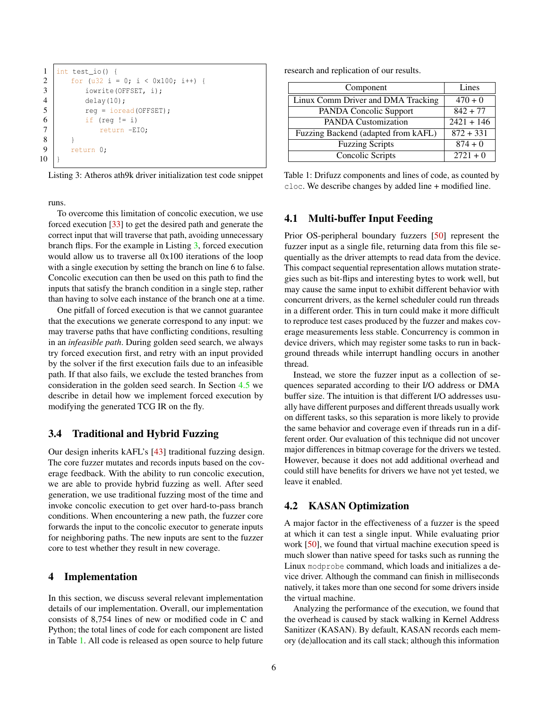```
1 int test_io() {
2 | for (u32 i = 0; i < 0x100; i++) {
3 iowrite(OFFSET, i);
4 delay(10);
5 reg = ioread(OFFSET);
6 if (req != i)
7 return -EIO;
8 }
9 return 0;
10 }
```
Listing 3: Atheros ath9k driver initialization test code snippet

runs.

To overcome this limitation of concolic execution, we use forced execution [\[33\]](#page-14-12) to get the desired path and generate the correct input that will traverse that path, avoiding unnecessary branch flips. For the example in Listing [3,](#page-5-0) forced execution would allow us to traverse all 0x100 iterations of the loop with a single execution by setting the branch on line 6 to false. Concolic execution can then be used on this path to find the inputs that satisfy the branch condition in a single step, rather than having to solve each instance of the branch one at a time.

One pitfall of forced execution is that we cannot guarantee that the executions we generate correspond to any input: we may traverse paths that have conflicting conditions, resulting in an *infeasible path*. During golden seed search, we always try forced execution first, and retry with an input provided by the solver if the first execution fails due to an infeasible path. If that also fails, we exclude the tested branches from consideration in the golden seed search. In Section [4.5](#page-6-1) we describe in detail how we implement forced execution by modifying the generated TCG IR on the fly.

## <span id="page-5-2"></span>3.4 Traditional and Hybrid Fuzzing

Our design inherits kAFL's [\[43\]](#page-14-5) traditional fuzzing design. The core fuzzer mutates and records inputs based on the coverage feedback. With the ability to run concolic execution, we are able to provide hybrid fuzzing as well. After seed generation, we use traditional fuzzing most of the time and invoke concolic execution to get over hard-to-pass branch conditions. When encountering a new path, the fuzzer core forwards the input to the concolic executor to generate inputs for neighboring paths. The new inputs are sent to the fuzzer core to test whether they result in new coverage.

### 4 Implementation

In this section, we discuss several relevant implementation details of our implementation. Overall, our implementation consists of 8,754 lines of new or modified code in C and Python; the total lines of code for each component are listed in Table [1.](#page-5-3) All code is released as open source to help future research and replication of our results.

<span id="page-5-3"></span>

| Component                           | Lines        |
|-------------------------------------|--------------|
| Linux Comm Driver and DMA Tracking  | $470 + 0$    |
| PANDA Concolic Support              | $842 + 77$   |
| <b>PANDA Customization</b>          | $2421 + 146$ |
| Fuzzing Backend (adapted from kAFL) | $872 + 331$  |
| <b>Fuzzing Scripts</b>              | $874 + 0$    |
| Concolic Scripts                    | $2721 + 0$   |

Table 1: Drifuzz components and lines of code, as counted by cloc. We describe changes by added line + modified line.

### <span id="page-5-1"></span>4.1 Multi-buffer Input Feeding

Prior OS-peripheral boundary fuzzers [\[50\]](#page-15-2) represent the fuzzer input as a single file, returning data from this file sequentially as the driver attempts to read data from the device. This compact sequential representation allows mutation strategies such as bit-flips and interesting bytes to work well, but may cause the same input to exhibit different behavior with concurrent drivers, as the kernel scheduler could run threads in a different order. This in turn could make it more difficult to reproduce test cases produced by the fuzzer and makes coverage measurements less stable. Concurrency is common in device drivers, which may register some tasks to run in background threads while interrupt handling occurs in another thread.

Instead, we store the fuzzer input as a collection of sequences separated according to their I/O address or DMA buffer size. The intuition is that different I/O addresses usually have different purposes and different threads usually work on different tasks, so this separation is more likely to provide the same behavior and coverage even if threads run in a different order. Our evaluation of this technique did not uncover major differences in bitmap coverage for the drivers we tested. However, because it does not add additional overhead and could still have benefits for drivers we have not yet tested, we leave it enabled.

# 4.2 KASAN Optimization

A major factor in the effectiveness of a fuzzer is the speed at which it can test a single input. While evaluating prior work [\[50\]](#page-15-2), we found that virtual machine execution speed is much slower than native speed for tasks such as running the Linux modprobe command, which loads and initializes a device driver. Although the command can finish in milliseconds natively, it takes more than one second for some drivers inside the virtual machine.

Analyzing the performance of the execution, we found that the overhead is caused by stack walking in Kernel Address Sanitizer (KASAN). By default, KASAN records each memory (de)allocation and its call stack; although this information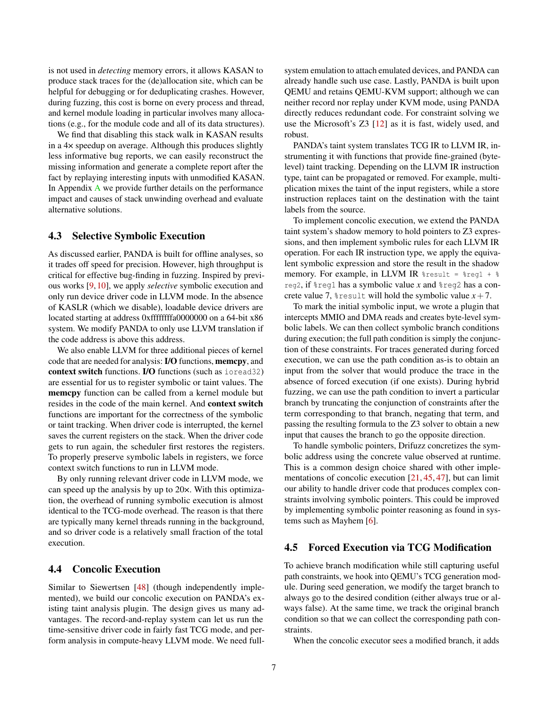is not used in *detecting* memory errors, it allows KASAN to produce stack traces for the (de)allocation site, which can be helpful for debugging or for deduplicating crashes. However, during fuzzing, this cost is borne on every process and thread, and kernel module loading in particular involves many allocations (e.g., for the module code and all of its data structures).

We find that disabling this stack walk in KASAN results in a 4× speedup on average. Although this produces slightly less informative bug reports, we can easily reconstruct the missing information and generate a complete report after the fact by replaying interesting inputs with unmodified KASAN. In Appendix [A](#page-15-7) we provide further details on the performance impact and causes of stack unwinding overhead and evaluate alternative solutions.

### <span id="page-6-0"></span>4.3 Selective Symbolic Execution

As discussed earlier, PANDA is built for offline analyses, so it trades off speed for precision. However, high throughput is critical for effective bug-finding in fuzzing. Inspired by previous works [\[9,](#page-13-8) [10\]](#page-13-9), we apply *selective* symbolic execution and only run device driver code in LLVM mode. In the absence of KASLR (which we disable), loadable device drivers are located starting at address 0xffffffffa0000000 on a 64-bit x86 system. We modify PANDA to only use LLVM translation if the code address is above this address.

We also enable LLVM for three additional pieces of kernel code that are needed for analysis: I/O functions, memcpy, and context switch functions. I/O functions (such as ioread32) are essential for us to register symbolic or taint values. The memcpy function can be called from a kernel module but resides in the code of the main kernel. And context switch functions are important for the correctness of the symbolic or taint tracking. When driver code is interrupted, the kernel saves the current registers on the stack. When the driver code gets to run again, the scheduler first restores the registers. To properly preserve symbolic labels in registers, we force context switch functions to run in LLVM mode.

By only running relevant driver code in LLVM mode, we can speed up the analysis by up to 20×. With this optimization, the overhead of running symbolic execution is almost identical to the TCG-mode overhead. The reason is that there are typically many kernel threads running in the background, and so driver code is a relatively small fraction of the total execution.

# 4.4 Concolic Execution

Similar to Siewertsen [\[48\]](#page-15-8) (though independently implemented), we build our concolic execution on PANDA's existing taint analysis plugin. The design gives us many advantages. The record-and-replay system can let us run the time-sensitive driver code in fairly fast TCG mode, and perform analysis in compute-heavy LLVM mode. We need full-

system emulation to attach emulated devices, and PANDA can already handle such use case. Lastly, PANDA is built upon QEMU and retains QEMU-KVM support; although we can neither record nor replay under KVM mode, using PANDA directly reduces redundant code. For constraint solving we use the Microsoft's Z3 [\[12\]](#page-13-10) as it is fast, widely used, and robust.

PANDA's taint system translates TCG IR to LLVM IR, instrumenting it with functions that provide fine-grained (bytelevel) taint tracking. Depending on the LLVM IR instruction type, taint can be propagated or removed. For example, multiplication mixes the taint of the input registers, while a store instruction replaces taint on the destination with the taint labels from the source.

To implement concolic execution, we extend the PANDA taint system's shadow memory to hold pointers to Z3 expressions, and then implement symbolic rules for each LLVM IR operation. For each IR instruction type, we apply the equivalent symbolic expression and store the result in the shadow memory. For example, in LLVM IR  $\text{result} = \text{reg1} + \text{S}$ reg2, if %reg1 has a symbolic value *x* and %reg2 has a concrete value 7,  $\text{result}$  will hold the symbolic value  $x + 7$ .

To mark the initial symbolic input, we wrote a plugin that intercepts MMIO and DMA reads and creates byte-level symbolic labels. We can then collect symbolic branch conditions during execution; the full path condition is simply the conjunction of these constraints. For traces generated during forced execution, we can use the path condition as-is to obtain an input from the solver that would produce the trace in the absence of forced execution (if one exists). During hybrid fuzzing, we can use the path condition to invert a particular branch by truncating the conjunction of constraints after the term corresponding to that branch, negating that term, and passing the resulting formula to the Z3 solver to obtain a new input that causes the branch to go the opposite direction.

To handle symbolic pointers, Drifuzz concretizes the symbolic address using the concrete value observed at runtime. This is a common design choice shared with other implementations of concolic execution [\[21,](#page-13-11) [45,](#page-14-13) [47\]](#page-15-9), but can limit our ability to handle driver code that produces complex constraints involving symbolic pointers. This could be improved by implementing symbolic pointer reasoning as found in systems such as Mayhem [\[6\]](#page-13-12).

### <span id="page-6-1"></span>4.5 Forced Execution via TCG Modification

To achieve branch modification while still capturing useful path constraints, we hook into QEMU's TCG generation module. During seed generation, we modify the target branch to always go to the desired condition (either always true or always false). At the same time, we track the original branch condition so that we can collect the corresponding path constraints.

When the concolic executor sees a modified branch, it adds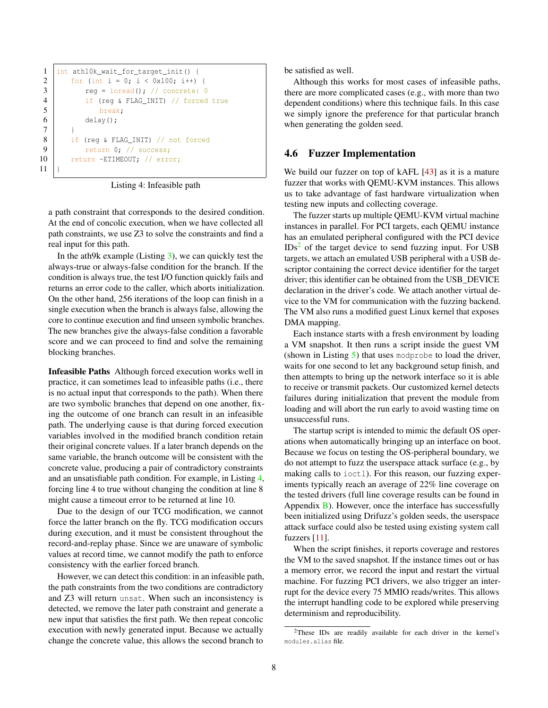```
1 int ath10k_wait_for_target_init() {
2 | for (int i = 0; i < 0x100; i++) {
3 reg = ioread(); // concrete: 0
4 if (reg & FLAG_INIT) // forced true
5 break;
6 delay();
7 }
8 if (reg & FLAG_INIT) // not forced
9 return 0; // success;
10 return -ETIMEOUT; // error;
11 }
```
Listing 4: Infeasible path

a path constraint that corresponds to the desired condition. At the end of concolic execution, when we have collected all path constraints, we use Z3 to solve the constraints and find a real input for this path.

In the ath9k example (Listing [3\)](#page-5-0), we can quickly test the always-true or always-false condition for the branch. If the condition is always true, the test I/O function quickly fails and returns an error code to the caller, which aborts initialization. On the other hand, 256 iterations of the loop can finish in a single execution when the branch is always false, allowing the core to continue execution and find unseen symbolic branches. The new branches give the always-false condition a favorable score and we can proceed to find and solve the remaining blocking branches.

Infeasible Paths Although forced execution works well in practice, it can sometimes lead to infeasible paths (i.e., there is no actual input that corresponds to the path). When there are two symbolic branches that depend on one another, fixing the outcome of one branch can result in an infeasible path. The underlying cause is that during forced execution variables involved in the modified branch condition retain their original concrete values. If a later branch depends on the same variable, the branch outcome will be consistent with the concrete value, producing a pair of contradictory constraints and an unsatisfiable path condition. For example, in Listing [4,](#page-7-0) forcing line 4 to true without changing the condition at line 8 might cause a timeout error to be returned at line 10.

Due to the design of our TCG modification, we cannot force the latter branch on the fly. TCG modification occurs during execution, and it must be consistent throughout the record-and-replay phase. Since we are unaware of symbolic values at record time, we cannot modify the path to enforce consistency with the earlier forced branch.

However, we can detect this condition: in an infeasible path, the path constraints from the two conditions are contradictory and Z3 will return unsat. When such an inconsistency is detected, we remove the later path constraint and generate a new input that satisfies the first path. We then repeat concolic execution with newly generated input. Because we actually change the concrete value, this allows the second branch to

be satisfied as well.

Although this works for most cases of infeasible paths, there are more complicated cases (e.g., with more than two dependent conditions) where this technique fails. In this case we simply ignore the preference for that particular branch when generating the golden seed.

### <span id="page-7-2"></span>4.6 Fuzzer Implementation

We build our fuzzer on top of kAFL [\[43\]](#page-14-5) as it is a mature fuzzer that works with QEMU-KVM instances. This allows us to take advantage of fast hardware virtualization when testing new inputs and collecting coverage.

The fuzzer starts up multiple QEMU-KVM virtual machine instances in parallel. For PCI targets, each QEMU instance has an emulated peripheral configured with the PCI device  $IDs<sup>2</sup>$  $IDs<sup>2</sup>$  $IDs<sup>2</sup>$  of the target device to send fuzzing input. For USB targets, we attach an emulated USB peripheral with a USB descriptor containing the correct device identifier for the target driver; this identifier can be obtained from the USB\_DEVICE declaration in the driver's code. We attach another virtual device to the VM for communication with the fuzzing backend. The VM also runs a modified guest Linux kernel that exposes DMA mapping.

Each instance starts with a fresh environment by loading a VM snapshot. It then runs a script inside the guest VM (shown in Listing [5\)](#page-8-0) that uses modprobe to load the driver, waits for one second to let any background setup finish, and then attempts to bring up the network interface so it is able to receive or transmit packets. Our customized kernel detects failures during initialization that prevent the module from loading and will abort the run early to avoid wasting time on unsuccessful runs.

The startup script is intended to mimic the default OS operations when automatically bringing up an interface on boot. Because we focus on testing the OS-peripheral boundary, we do not attempt to fuzz the userspace attack surface (e.g., by making calls to ioctl). For this reason, our fuzzing experiments typically reach an average of 22% line coverage on the tested drivers (full line coverage results can be found in Appendix [B\)](#page-16-0). However, once the interface has successfully been initialized using Drifuzz's golden seeds, the userspace attack surface could also be tested using existing system call fuzzers [\[11\]](#page-13-1).

When the script finishes, it reports coverage and restores the VM to the saved snapshot. If the instance times out or has a memory error, we record the input and restart the virtual machine. For fuzzing PCI drivers, we also trigger an interrupt for the device every 75 MMIO reads/writes. This allows the interrupt handling code to be explored while preserving determinism and reproducibility.

<span id="page-7-1"></span><sup>&</sup>lt;sup>2</sup>These IDs are readily available for each driver in the kernel's modules.alias file.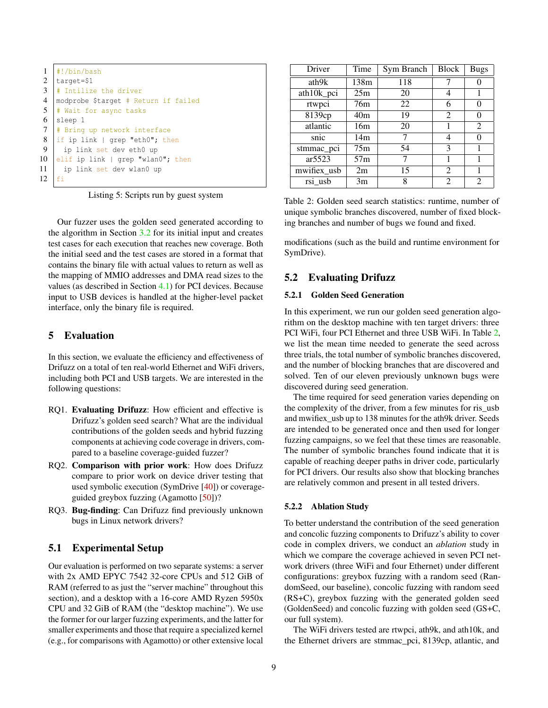<span id="page-8-0"></span>

|    | #!/bin/bash                          |
|----|--------------------------------------|
| 2  | target=\$1                           |
| 3  | # Intilize the driver                |
| 4  | modprobe \$target # Return if failed |
| 5  | # Wait for async tasks               |
| 6  | sleep 1                              |
| 7  | # Bring up network interface         |
| 8  | if ip link   grep "eth0"; then       |
| -9 | ip link set dev eth0 up              |
| 10 | elif ip link   grep "wlan0"; then    |
| 11 | ip link set dev wlan0 up             |
| 12 | fi                                   |

Listing 5: Scripts run by guest system

Our fuzzer uses the golden seed generated according to the algorithm in Section [3.2](#page-3-1) for its initial input and creates test cases for each execution that reaches new coverage. Both the initial seed and the test cases are stored in a format that contains the binary file with actual values to return as well as the mapping of MMIO addresses and DMA read sizes to the values (as described in Section [4.1\)](#page-5-1) for PCI devices. Because input to USB devices is handled at the higher-level packet interface, only the binary file is required.

## 5 Evaluation

In this section, we evaluate the efficiency and effectiveness of Drifuzz on a total of ten real-world Ethernet and WiFi drivers, including both PCI and USB targets. We are interested in the following questions:

- RQ1. Evaluating Drifuzz: How efficient and effective is Drifuzz's golden seed search? What are the individual contributions of the golden seeds and hybrid fuzzing components at achieving code coverage in drivers, compared to a baseline coverage-guided fuzzer?
- RQ2. Comparison with prior work: How does Drifuzz compare to prior work on device driver testing that used symbolic execution (SymDrive [\[40\]](#page-14-8)) or coverageguided greybox fuzzing (Agamotto [\[50\]](#page-15-2))?
- RQ3. Bug-finding: Can Drifuzz find previously unknown bugs in Linux network drivers?

# 5.1 Experimental Setup

Our evaluation is performed on two separate systems: a server with 2x AMD EPYC 7542 32-core CPUs and 512 GiB of RAM (referred to as just the "server machine" throughout this section), and a desktop with a 16-core AMD Ryzen 5950x CPU and 32 GiB of RAM (the "desktop machine"). We use the former for our larger fuzzing experiments, and the latter for smaller experiments and those that require a specialized kernel (e.g., for comparisons with Agamotto) or other extensive local

<span id="page-8-1"></span>

| Driver      | Time            | Sym Branch | <b>Block</b> | <b>Bugs</b> |
|-------------|-----------------|------------|--------------|-------------|
| ath9k       | 138m            | 118        |              |             |
| ath10k_pci  | 25m             | 20         | 4            |             |
| rtwpci      | 76 <sub>m</sub> | 22         | 6            |             |
| 8139cp      | 40m             | 19         | 2            |             |
| atlantic    | 16m             | 20         |              | 2           |
| snic        | 14m             |            | 4            |             |
| stmmac_pci  | 75m             | 54         | 3            |             |
| ar5523      | 57m             | 7          |              |             |
| mwifiex_usb | 2m              | 15         | 2            |             |
| rsi usb     | 3m              | 8          | 2            | 2           |

Table 2: Golden seed search statistics: runtime, number of unique symbolic branches discovered, number of fixed blocking branches and number of bugs we found and fixed.

modifications (such as the build and runtime environment for SymDrive).

### 5.2 Evaluating Drifuzz

#### 5.2.1 Golden Seed Generation

In this experiment, we run our golden seed generation algorithm on the desktop machine with ten target drivers: three PCI WiFi, four PCI Ethernet and three USB WiFi. In Table [2,](#page-8-1) we list the mean time needed to generate the seed across three trials, the total number of symbolic branches discovered, and the number of blocking branches that are discovered and solved. Ten of our eleven previously unknown bugs were discovered during seed generation.

The time required for seed generation varies depending on the complexity of the driver, from a few minutes for ris\_usb and mwifiex\_usb up to 138 minutes for the ath9k driver. Seeds are intended to be generated once and then used for longer fuzzing campaigns, so we feel that these times are reasonable. The number of symbolic branches found indicate that it is capable of reaching deeper paths in driver code, particularly for PCI drivers. Our results also show that blocking branches are relatively common and present in all tested drivers.

#### <span id="page-8-2"></span>5.2.2 Ablation Study

To better understand the contribution of the seed generation and concolic fuzzing components to Drifuzz's ability to cover code in complex drivers, we conduct an *ablation* study in which we compare the coverage achieved in seven PCI network drivers (three WiFi and four Ethernet) under different configurations: greybox fuzzing with a random seed (RandomSeed, our baseline), concolic fuzzing with random seed (RS+C), greybox fuzzing with the generated golden seed (GoldenSeed) and concolic fuzzing with golden seed (GS+C, our full system).

The WiFi drivers tested are rtwpci, ath9k, and ath10k, and the Ethernet drivers are stmmac\_pci, 8139cp, atlantic, and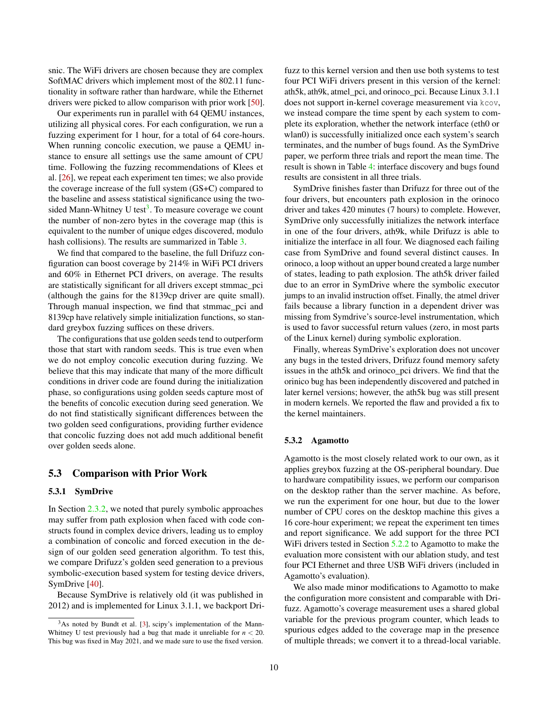snic. The WiFi drivers are chosen because they are complex SoftMAC drivers which implement most of the 802.11 functionality in software rather than hardware, while the Ethernet drivers were picked to allow comparison with prior work [\[50\]](#page-15-2).

Our experiments run in parallel with 64 QEMU instances, utilizing all physical cores. For each configuration, we run a fuzzing experiment for 1 hour, for a total of 64 core-hours. When running concolic execution, we pause a QEMU instance to ensure all settings use the same amount of CPU time. Following the fuzzing recommendations of Klees et al. [\[26\]](#page-14-14), we repeat each experiment ten times; we also provide the coverage increase of the full system (GS+C) compared to the baseline and assess statistical significance using the two-sided Mann-Whitney U test<sup>[3](#page-9-0)</sup>. To measure coverage we count the number of non-zero bytes in the coverage map (this is equivalent to the number of unique edges discovered, modulo hash collisions). The results are summarized in Table [3.](#page-10-0)

We find that compared to the baseline, the full Drifuzz configuration can boost coverage by 214% in WiFi PCI drivers and 60% in Ethernet PCI drivers, on average. The results are statistically significant for all drivers except stmmac\_pci (although the gains for the 8139cp driver are quite small). Through manual inspection, we find that stmmac\_pci and 8139cp have relatively simple initialization functions, so standard greybox fuzzing suffices on these drivers.

The configurations that use golden seeds tend to outperform those that start with random seeds. This is true even when we do not employ concolic execution during fuzzing. We believe that this may indicate that many of the more difficult conditions in driver code are found during the initialization phase, so configurations using golden seeds capture most of the benefits of concolic execution during seed generation. We do not find statistically significant differences between the two golden seed configurations, providing further evidence that concolic fuzzing does not add much additional benefit over golden seeds alone.

### 5.3 Comparison with Prior Work

#### <span id="page-9-1"></span>5.3.1 SymDrive

In Section [2.3.2,](#page-2-0) we noted that purely symbolic approaches may suffer from path explosion when faced with code constructs found in complex device drivers, leading us to employ a combination of concolic and forced execution in the design of our golden seed generation algorithm. To test this, we compare Drifuzz's golden seed generation to a previous symbolic-execution based system for testing device drivers, SymDrive [\[40\]](#page-14-8).

Because SymDrive is relatively old (it was published in 2012) and is implemented for Linux 3.1.1, we backport Drifuzz to this kernel version and then use both systems to test four PCI WiFi drivers present in this version of the kernel: ath5k, ath9k, atmel\_pci, and orinoco\_pci. Because Linux 3.1.1 does not support in-kernel coverage measurement via kcov, we instead compare the time spent by each system to complete its exploration, whether the network interface (eth0 or wlan0) is successfully initialized once each system's search terminates, and the number of bugs found. As the SymDrive paper, we perform three trials and report the mean time. The result is shown in Table [4:](#page-10-1) interface discovery and bugs found results are consistent in all three trials.

SymDrive finishes faster than Drifuzz for three out of the four drivers, but encounters path explosion in the orinoco driver and takes 420 minutes (7 hours) to complete. However, SymDrive only successfully initializes the network interface in one of the four drivers, ath9k, while Drifuzz is able to initialize the interface in all four. We diagnosed each failing case from SymDrive and found several distinct causes. In orinoco, a loop without an upper bound created a large number of states, leading to path explosion. The ath5k driver failed due to an error in SymDrive where the symbolic executor jumps to an invalid instruction offset. Finally, the atmel driver fails because a library function in a dependent driver was missing from Symdrive's source-level instrumentation, which is used to favor successful return values (zero, in most parts of the Linux kernel) during symbolic exploration.

Finally, whereas SymDrive's exploration does not uncover any bugs in the tested drivers, Drifuzz found memory safety issues in the ath5k and orinoco\_pci drivers. We find that the orinico bug has been independently discovered and patched in later kernel versions; however, the ath5k bug was still present in modern kernels. We reported the flaw and provided a fix to the kernel maintainers.

#### 5.3.2 Agamotto

Agamotto is the most closely related work to our own, as it applies greybox fuzzing at the OS-peripheral boundary. Due to hardware compatibility issues, we perform our comparison on the desktop rather than the server machine. As before, we run the experiment for one hour, but due to the lower number of CPU cores on the desktop machine this gives a 16 core-hour experiment; we repeat the experiment ten times and report significance. We add support for the three PCI WiFi drivers tested in Section [5.2.2](#page-8-2) to Agamotto to make the evaluation more consistent with our ablation study, and test four PCI Ethernet and three USB WiFi drivers (included in Agamotto's evaluation).

We also made minor modifications to Agamotto to make the configuration more consistent and comparable with Drifuzz. Agamotto's coverage measurement uses a shared global variable for the previous program counter, which leads to spurious edges added to the coverage map in the presence of multiple threads; we convert it to a thread-local variable.

<span id="page-9-0"></span> $3$ As noted by Bundt et al. [\[3\]](#page-13-13), scipy's implementation of the Mann-Whitney U test previously had a bug that made it unreliable for  $n < 20$ . This bug was fixed in May 2021, and we made sure to use the fixed version.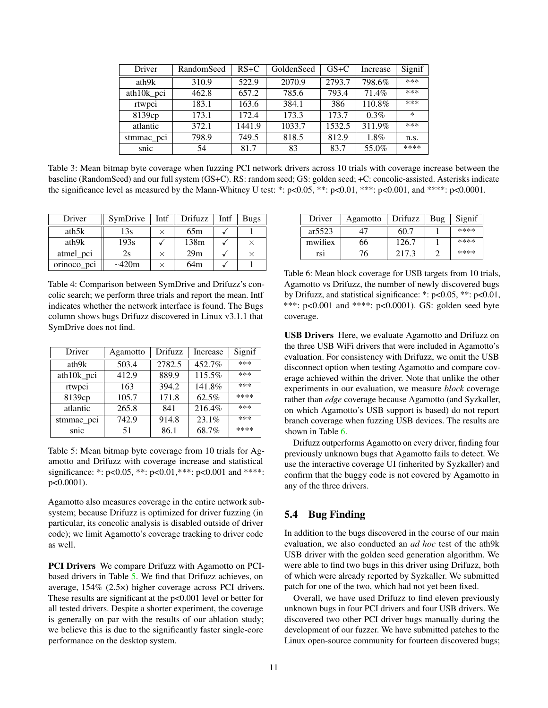<span id="page-10-0"></span>

| Driver     | RandomSeed | $RS+C$ | GoldenSeed | $GS+C$ | Increase | Signif |
|------------|------------|--------|------------|--------|----------|--------|
| ath9k      | 310.9      | 522.9  | 2070.9     | 2793.7 | 798.6%   | ***    |
| ath10k_pci | 462.8      | 657.2  | 785.6      | 793.4  | 71.4%    | ***    |
| rtwpci     | 183.1      | 163.6  | 384.1      | 386    | 110.8%   | ***    |
| 8139ср     | 173.1      | 172.4  | 173.3      | 173.7  | $0.3\%$  | $\ast$ |
| atlantic   | 372.1      | 1441.9 | 1033.7     | 1532.5 | 311.9%   | ***    |
| stmmac_pci | 798.9      | 749.5  | 818.5      | 812.9  | 1.8%     | n.s.   |
| snic       | 54         | 81.7   | 83         | 83.7   | 55.0%    | ****   |

Table 3: Mean bitmap byte coverage when fuzzing PCI network drivers across 10 trials with coverage increase between the baseline (RandomSeed) and our full system (GS+C). RS: random seed; GS: golden seed; +C: concolic-assisted. Asterisks indicate the significance level as measured by the Mann-Whitney U test: \*:  $p<0.05$ , \*\*:  $p<0.01$ , \*\*\*:  $p<0.001$ , and \*\*\*\*:  $p<0.0001$ .

<span id="page-10-1"></span>

| Driver      | SymDrive    | Intf | Drifuzz | Intf | <b>Bugs</b> |
|-------------|-------------|------|---------|------|-------------|
| ath5k       | 13s         |      | 65m     |      |             |
| ath9k       | 193s        |      | 138m    |      |             |
| atmel_pci   | 2s          |      | 29m     |      |             |
| orinoco_pci | $\sim$ 420m |      | 64m     |      |             |

Table 4: Comparison between SymDrive and Drifuzz's concolic search; we perform three trials and report the mean. Intf indicates whether the network interface is found. The Bugs column shows bugs Drifuzz discovered in Linux v3.1.1 that SymDrive does not find.

<span id="page-10-2"></span>

| Driver     | Agamotto | <b>Drifuzz</b> | Increase            | Signif |
|------------|----------|----------------|---------------------|--------|
| ath9k      | 503.4    | 2782.5         | 452.7%              | ***    |
| ath10k_pci | 412.9    | 889.9          | 115.5%              | ***    |
| rtwpci     | 163      | 394.2          | 141.8%              | ***    |
| 8139cp     | 105.7    | 171.8          | 62.5%               | ****   |
| atlantic   | 265.8    | 841            | 216.4%              | ***    |
| stmmac_pci | 742.9    | 914.8          | $23.\overline{1\%}$ | ***    |
| snic       | 51       | 86.1           | 68.7%               | ****   |

Table 5: Mean bitmap byte coverage from 10 trials for Agamotto and Drifuzz with coverage increase and statistical significance: \*: p<0.05, \*\*: p<0.01, \*\*\*: p<0.001 and \*\*\*\*: p<0.0001).

Agamotto also measures coverage in the entire network subsystem; because Drifuzz is optimized for driver fuzzing (in particular, its concolic analysis is disabled outside of driver code); we limit Agamotto's coverage tracking to driver code as well.

PCI Drivers We compare Drifuzz with Agamotto on PCIbased drivers in Table [5.](#page-10-2) We find that Drifuzz achieves, on average, 154% (2.5×) higher coverage across PCI drivers. These results are significant at the p<0.001 level or better for all tested drivers. Despite a shorter experiment, the coverage is generally on par with the results of our ablation study; we believe this is due to the significantly faster single-core performance on the desktop system.

<span id="page-10-3"></span>

| Driver  | Agamotto | <b>Drifuzz</b> | Bug | Signif |
|---------|----------|----------------|-----|--------|
| ar5523  | 47       | 60.7           |     | ****   |
| mwifiex | 66       | 126.7          |     | ****   |
| rs1     | 76       | 217.3          |     | ****   |

Table 6: Mean block coverage for USB targets from 10 trials, Agamotto vs Drifuzz, the number of newly discovered bugs by Drifuzz, and statistical significance: \*: p<0.05, \*\*: p<0.01, \*\*\*: p<0.001 and \*\*\*\*: p<0.0001). GS: golden seed byte coverage.

USB Drivers Here, we evaluate Agamotto and Drifuzz on the three USB WiFi drivers that were included in Agamotto's evaluation. For consistency with Drifuzz, we omit the USB disconnect option when testing Agamotto and compare coverage achieved within the driver. Note that unlike the other experiments in our evaluation, we measure *block* coverage rather than *edge* coverage because Agamotto (and Syzkaller, on which Agamotto's USB support is based) do not report branch coverage when fuzzing USB devices. The results are shown in Table [6.](#page-10-3)

Drifuzz outperforms Agamotto on every driver, finding four previously unknown bugs that Agamotto fails to detect. We use the interactive coverage UI (inherited by Syzkaller) and confirm that the buggy code is not covered by Agamotto in any of the three drivers.

# 5.4 Bug Finding

In addition to the bugs discovered in the course of our main evaluation, we also conducted an *ad hoc* test of the ath9k USB driver with the golden seed generation algorithm. We were able to find two bugs in this driver using Drifuzz, both of which were already reported by Syzkaller. We submitted patch for one of the two, which had not yet been fixed.

Overall, we have used Drifuzz to find eleven previously unknown bugs in four PCI drivers and four USB drivers. We discovered two other PCI driver bugs manually during the development of our fuzzer. We have submitted patches to the Linux open-source community for fourteen discovered bugs;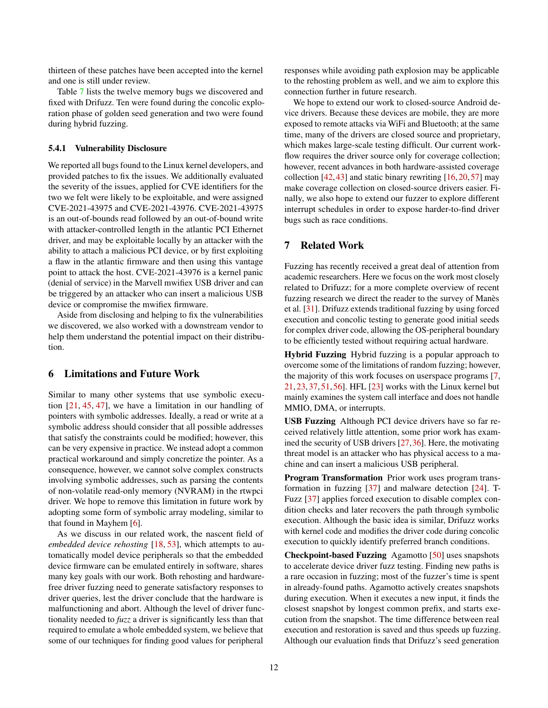thirteen of these patches have been accepted into the kernel and one is still under review.

Table [7](#page-12-1) lists the twelve memory bugs we discovered and fixed with Drifuzz. Ten were found during the concolic exploration phase of golden seed generation and two were found during hybrid fuzzing.

#### 5.4.1 Vulnerability Disclosure

We reported all bugs found to the Linux kernel developers, and provided patches to fix the issues. We additionally evaluated the severity of the issues, applied for CVE identifiers for the two we felt were likely to be exploitable, and were assigned CVE-2021-43975 and CVE-2021-43976. CVE-2021-43975 is an out-of-bounds read followed by an out-of-bound write with attacker-controlled length in the atlantic PCI Ethernet driver, and may be exploitable locally by an attacker with the ability to attach a malicious PCI device, or by first exploiting a flaw in the atlantic firmware and then using this vantage point to attack the host. CVE-2021-43976 is a kernel panic (denial of service) in the Marvell mwifiex USB driver and can be triggered by an attacker who can insert a malicious USB device or compromise the mwifiex firmware.

Aside from disclosing and helping to fix the vulnerabilities we discovered, we also worked with a downstream vendor to help them understand the potential impact on their distribution.

# 6 Limitations and Future Work

Similar to many other systems that use symbolic execution [\[21,](#page-13-11) [45,](#page-14-13) [47\]](#page-15-9), we have a limitation in our handling of pointers with symbolic addresses. Ideally, a read or write at a symbolic address should consider that all possible addresses that satisfy the constraints could be modified; however, this can be very expensive in practice. We instead adopt a common practical workaround and simply concretize the pointer. As a consequence, however, we cannot solve complex constructs involving symbolic addresses, such as parsing the contents of non-volatile read-only memory (NVRAM) in the rtwpci driver. We hope to remove this limitation in future work by adopting some form of symbolic array modeling, similar to that found in Mayhem [\[6\]](#page-13-12).

As we discuss in our related work, the nascent field of *embedded device rehosting* [\[18,](#page-13-14) [53\]](#page-15-10), which attempts to automatically model device peripherals so that the embedded device firmware can be emulated entirely in software, shares many key goals with our work. Both rehosting and hardwarefree driver fuzzing need to generate satisfactory responses to driver queries, lest the driver conclude that the hardware is malfunctioning and abort. Although the level of driver functionality needed to *fuzz* a driver is significantly less than that required to emulate a whole embedded system, we believe that some of our techniques for finding good values for peripheral

responses while avoiding path explosion may be applicable to the rehosting problem as well, and we aim to explore this connection further in future research.

We hope to extend our work to closed-source Android device drivers. Because these devices are mobile, they are more exposed to remote attacks via WiFi and Bluetooth; at the same time, many of the drivers are closed source and proprietary, which makes large-scale testing difficult. Our current workflow requires the driver source only for coverage collection; however, recent advances in both hardware-assisted coverage collection  $[42, 43]$  $[42, 43]$  $[42, 43]$  and static binary rewriting  $[16, 20, 57]$  $[16, 20, 57]$  $[16, 20, 57]$  $[16, 20, 57]$  $[16, 20, 57]$  may make coverage collection on closed-source drivers easier. Finally, we also hope to extend our fuzzer to explore different interrupt schedules in order to expose harder-to-find driver bugs such as race conditions.

# 7 Related Work

Fuzzing has recently received a great deal of attention from academic researchers. Here we focus on the work most closely related to Drifuzz; for a more complete overview of recent fuzzing research we direct the reader to the survey of Manès et al. [\[31\]](#page-14-16). Drifuzz extends traditional fuzzing by using forced execution and concolic testing to generate good initial seeds for complex driver code, allowing the OS-peripheral boundary to be efficiently tested without requiring actual hardware.

Hybrid Fuzzing Hybrid fuzzing is a popular approach to overcome some of the limitations of random fuzzing; however, the majority of this work focuses on userspace programs [\[7,](#page-13-17) [21,](#page-13-11) [23,](#page-13-3) [37,](#page-14-6) [51,](#page-15-4) [56\]](#page-15-5). HFL [\[23\]](#page-13-3) works with the Linux kernel but mainly examines the system call interface and does not handle MMIO, DMA, or interrupts.

USB Fuzzing Although PCI device drivers have so far received relatively little attention, some prior work has examined the security of USB drivers [\[27,](#page-14-17)[36\]](#page-14-9). Here, the motivating threat model is an attacker who has physical access to a machine and can insert a malicious USB peripheral.

Program Transformation Prior work uses program transformation in fuzzing [\[37\]](#page-14-6) and malware detection [\[24\]](#page-14-18). T-Fuzz [\[37\]](#page-14-6) applies forced execution to disable complex condition checks and later recovers the path through symbolic execution. Although the basic idea is similar, Drifuzz works with kernel code and modifies the driver code during concolic execution to quickly identify preferred branch conditions.

Checkpoint-based Fuzzing Agamotto [\[50\]](#page-15-2) uses snapshots to accelerate device driver fuzz testing. Finding new paths is a rare occasion in fuzzing; most of the fuzzer's time is spent in already-found paths. Agamotto actively creates snapshots during execution. When it executes a new input, it finds the closest snapshot by longest common prefix, and starts execution from the snapshot. The time difference between real execution and restoration is saved and thus speeds up fuzzing. Although our evaluation finds that Drifuzz's seed generation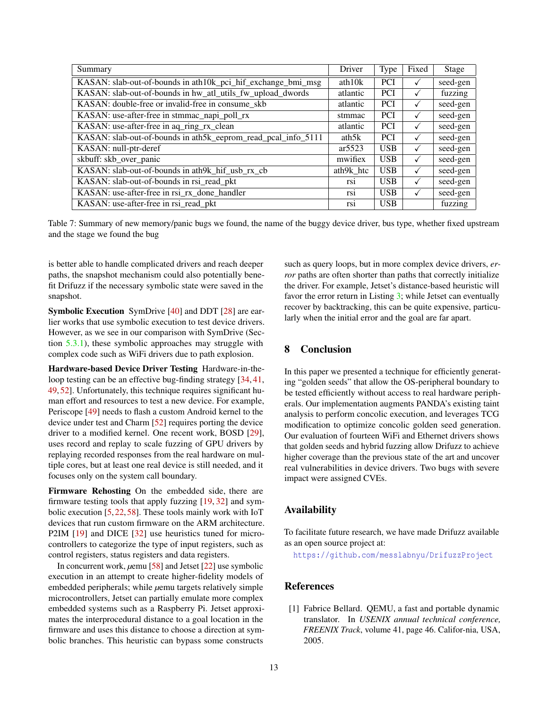<span id="page-12-1"></span>

| Summary                                                       | Driver    | <b>Type</b> | Fixed | Stage    |
|---------------------------------------------------------------|-----------|-------------|-------|----------|
| KASAN: slab-out-of-bounds in ath10k_pci_hif_exchange_bmi_msg  | ath $10k$ | <b>PCI</b>  | ✓     | seed-gen |
| KASAN: slab-out-of-bounds in hw_atl_utils_fw_upload_dwords    | atlantic  | <b>PCI</b>  |       | fuzzing  |
| KASAN: double-free or invalid-free in consume_skb             | atlantic  | <b>PCI</b>  |       | seed-gen |
| KASAN: use-after-free in stmmac_napi_poll_rx                  | stmmac    | <b>PCI</b>  |       | seed-gen |
| KASAN: use-after-free in aq_ring_rx_clean                     | atlantic  | <b>PCI</b>  | ✓     | seed-gen |
| KASAN: slab-out-of-bounds in ath5k_eeprom_read_pcal_info_5111 | ath5k     | <b>PCI</b>  |       | seed-gen |
| KASAN: null-ptr-deref                                         | ar5523    | <b>USB</b>  | ✓     | seed-gen |
| skbuff: skb_over_panic                                        | mwifiex   | <b>USB</b>  | ✓     | seed-gen |
| KASAN: slab-out-of-bounds in ath9k_hif_usb_rx_cb              | ath9k htc | <b>USB</b>  | ✓     | seed-gen |
| KASAN: slab-out-of-bounds in rsi_read_pkt                     | rsi       | <b>USB</b>  |       | seed-gen |
| KASAN: use-after-free in rsi_rx_done_handler                  | rs1       | <b>USB</b>  |       | seed-gen |
| KASAN: use-after-free in rsi_read_pkt                         | rs1       | <b>USB</b>  |       | fuzzing  |

Table 7: Summary of new memory/panic bugs we found, the name of the buggy device driver, bus type, whether fixed upstream and the stage we found the bug

is better able to handle complicated drivers and reach deeper paths, the snapshot mechanism could also potentially benefit Drifuzz if the necessary symbolic state were saved in the snapshot.

Symbolic Execution SymDrive [\[40\]](#page-14-8) and DDT [\[28\]](#page-14-19) are earlier works that use symbolic execution to test device drivers. However, as we see in our comparison with SymDrive (Section [5.3.1\)](#page-9-1), these symbolic approaches may struggle with complex code such as WiFi drivers due to path explosion.

Hardware-based Device Driver Testing Hardware-in-the-loop testing can be an effective bug-finding strategy [\[34,](#page-14-20) [41,](#page-14-21) [49,](#page-15-1) [52\]](#page-15-3). Unfortunately, this technique requires significant human effort and resources to test a new device. For example, Periscope [\[49\]](#page-15-1) needs to flash a custom Android kernel to the device under test and Charm [\[52\]](#page-15-3) requires porting the device driver to a modified kernel. One recent work, BOSD [\[29\]](#page-14-3), uses record and replay to scale fuzzing of GPU drivers by replaying recorded responses from the real hardware on multiple cores, but at least one real device is still needed, and it focuses only on the system call boundary.

Firmware Rehosting On the embedded side, there are firmware testing tools that apply fuzzing [\[19,](#page-13-18) [32\]](#page-14-22) and symbolic execution [\[5,](#page-13-19) [22,](#page-13-20) [58\]](#page-15-12). These tools mainly work with IoT devices that run custom firmware on the ARM architecture. P2IM [\[19\]](#page-13-18) and DICE [\[32\]](#page-14-22) use heuristics tuned for microcontrollers to categorize the type of input registers, such as control registers, status registers and data registers.

In concurrent work, *µemu* [\[58\]](#page-15-12) and Jetset [\[22\]](#page-13-20) use symbolic execution in an attempt to create higher-fidelity models of embedded peripherals; while *µemu* targets relatively simple microcontrollers, Jetset can partially emulate more complex embedded systems such as a Raspberry Pi. Jetset approximates the interprocedural distance to a goal location in the firmware and uses this distance to choose a direction at symbolic branches. This heuristic can bypass some constructs

such as query loops, but in more complex device drivers, *error* paths are often shorter than paths that correctly initialize the driver. For example, Jetset's distance-based heuristic will favor the error return in Listing [3;](#page-5-0) while Jetset can eventually recover by backtracking, this can be quite expensive, particularly when the initial error and the goal are far apart.

# 8 Conclusion

In this paper we presented a technique for efficiently generating "golden seeds" that allow the OS-peripheral boundary to be tested efficiently without access to real hardware peripherals. Our implementation augments PANDA's existing taint analysis to perform concolic execution, and leverages TCG modification to optimize concolic golden seed generation. Our evaluation of fourteen WiFi and Ethernet drivers shows that golden seeds and hybrid fuzzing allow Drifuzz to achieve higher coverage than the previous state of the art and uncover real vulnerabilities in device drivers. Two bugs with severe impact were assigned CVEs.

## Availability

To facilitate future research, we have made Drifuzz available as an open source project at:

<https://github.com/messlabnyu/DrifuzzProject>

# References

<span id="page-12-0"></span>[1] Fabrice Bellard. QEMU, a fast and portable dynamic translator. In *USENIX annual technical conference, FREENIX Track*, volume 41, page 46. Califor-nia, USA, 2005.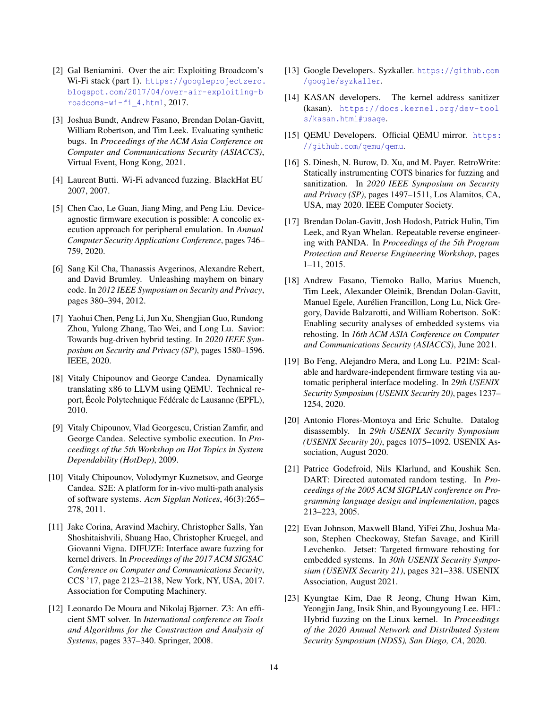- <span id="page-13-0"></span>[2] Gal Beniamini. Over the air: Exploiting Broadcom's Wi-Fi stack (part 1). [https://googleprojectzero.](https://googleprojectzero.blogspot.com/2017/04/over-air-exploiting-broadcoms-wi-fi_4.html) [blogspot.com/2017/04/over-air-exploiting-b](https://googleprojectzero.blogspot.com/2017/04/over-air-exploiting-broadcoms-wi-fi_4.html) [roadcoms-wi-fi\\_4.html](https://googleprojectzero.blogspot.com/2017/04/over-air-exploiting-broadcoms-wi-fi_4.html), 2017.
- <span id="page-13-13"></span>[3] Joshua Bundt, Andrew Fasano, Brendan Dolan-Gavitt, William Robertson, and Tim Leek. Evaluating synthetic bugs. In *Proceedings of the ACM Asia Conference on Computer and Communications Security (ASIACCS)*, Virtual Event, Hong Kong, 2021.
- <span id="page-13-4"></span>[4] Laurent Butti. Wi-Fi advanced fuzzing. BlackHat EU 2007, 2007.
- <span id="page-13-19"></span>[5] Chen Cao, Le Guan, Jiang Ming, and Peng Liu. Deviceagnostic firmware execution is possible: A concolic execution approach for peripheral emulation. In *Annual Computer Security Applications Conference*, pages 746– 759, 2020.
- <span id="page-13-12"></span>[6] Sang Kil Cha, Thanassis Avgerinos, Alexandre Rebert, and David Brumley. Unleashing mayhem on binary code. In *2012 IEEE Symposium on Security and Privacy*, pages 380–394, 2012.
- <span id="page-13-17"></span>[7] Yaohui Chen, Peng Li, Jun Xu, Shengjian Guo, Rundong Zhou, Yulong Zhang, Tao Wei, and Long Lu. Savior: Towards bug-driven hybrid testing. In *2020 IEEE Symposium on Security and Privacy (SP)*, pages 1580–1596. IEEE, 2020.
- <span id="page-13-7"></span>[8] Vitaly Chipounov and George Candea. Dynamically translating x86 to LLVM using QEMU. Technical report, École Polytechnique Fédérale de Lausanne (EPFL), 2010.
- <span id="page-13-8"></span>[9] Vitaly Chipounov, Vlad Georgescu, Cristian Zamfir, and George Candea. Selective symbolic execution. In *Proceedings of the 5th Workshop on Hot Topics in System Dependability (HotDep)*, 2009.
- <span id="page-13-9"></span>[10] Vitaly Chipounov, Volodymyr Kuznetsov, and George Candea. S2E: A platform for in-vivo multi-path analysis of software systems. *Acm Sigplan Notices*, 46(3):265– 278, 2011.
- <span id="page-13-1"></span>[11] Jake Corina, Aravind Machiry, Christopher Salls, Yan Shoshitaishvili, Shuang Hao, Christopher Kruegel, and Giovanni Vigna. DIFUZE: Interface aware fuzzing for kernel drivers. In *Proceedings of the 2017 ACM SIGSAC Conference on Computer and Communications Security*, CCS '17, page 2123–2138, New York, NY, USA, 2017. Association for Computing Machinery.
- <span id="page-13-10"></span>[12] Leonardo De Moura and Nikolaj Bjørner. Z3: An efficient SMT solver. In *International conference on Tools and Algorithms for the Construction and Analysis of Systems*, pages 337–340. Springer, 2008.
- <span id="page-13-2"></span>[13] Google Developers. Syzkaller. [https://github.com](https://github.com/google/syzkaller) [/google/syzkaller](https://github.com/google/syzkaller).
- <span id="page-13-21"></span>[14] KASAN developers. The kernel address sanitizer (kasan). [https://docs.kernel.org/dev-tool](https://docs.kernel.org/dev-tools/kasan.html#usage) [s/kasan.html#usage](https://docs.kernel.org/dev-tools/kasan.html#usage).
- <span id="page-13-5"></span>[15] QEMU Developers. Official QEMU mirror. [https:](https://github.com/qemu/qemu) [//github.com/qemu/qemu](https://github.com/qemu/qemu).
- <span id="page-13-15"></span>[16] S. Dinesh, N. Burow, D. Xu, and M. Payer. RetroWrite: Statically instrumenting COTS binaries for fuzzing and sanitization. In *2020 IEEE Symposium on Security and Privacy (SP)*, pages 1497–1511, Los Alamitos, CA, USA, may 2020. IEEE Computer Society.
- <span id="page-13-6"></span>[17] Brendan Dolan-Gavitt, Josh Hodosh, Patrick Hulin, Tim Leek, and Ryan Whelan. Repeatable reverse engineering with PANDA. In *Proceedings of the 5th Program Protection and Reverse Engineering Workshop*, pages 1–11, 2015.
- <span id="page-13-14"></span>[18] Andrew Fasano, Tiemoko Ballo, Marius Muench, Tim Leek, Alexander Oleinik, Brendan Dolan-Gavitt, Manuel Egele, Aurélien Francillon, Long Lu, Nick Gregory, Davide Balzarotti, and William Robertson. SoK: Enabling security analyses of embedded systems via rehosting. In *16th ACM ASIA Conference on Computer and Communications Security (ASIACCS)*, June 2021.
- <span id="page-13-18"></span>[19] Bo Feng, Alejandro Mera, and Long Lu. P2IM: Scalable and hardware-independent firmware testing via automatic peripheral interface modeling. In *29th USENIX Security Symposium (USENIX Security 20)*, pages 1237– 1254, 2020.
- <span id="page-13-16"></span>[20] Antonio Flores-Montoya and Eric Schulte. Datalog disassembly. In *29th USENIX Security Symposium (USENIX Security 20)*, pages 1075–1092. USENIX Association, August 2020.
- <span id="page-13-11"></span>[21] Patrice Godefroid, Nils Klarlund, and Koushik Sen. DART: Directed automated random testing. In *Proceedings of the 2005 ACM SIGPLAN conference on Programming language design and implementation*, pages 213–223, 2005.
- <span id="page-13-20"></span>[22] Evan Johnson, Maxwell Bland, YiFei Zhu, Joshua Mason, Stephen Checkoway, Stefan Savage, and Kirill Levchenko. Jetset: Targeted firmware rehosting for embedded systems. In *30th USENIX Security Symposium (USENIX Security 21)*, pages 321–338. USENIX Association, August 2021.
- <span id="page-13-3"></span>[23] Kyungtae Kim, Dae R Jeong, Chung Hwan Kim, Yeongjin Jang, Insik Shin, and Byoungyoung Lee. HFL: Hybrid fuzzing on the Linux kernel. In *Proceedings of the 2020 Annual Network and Distributed System Security Symposium (NDSS), San Diego, CA*, 2020.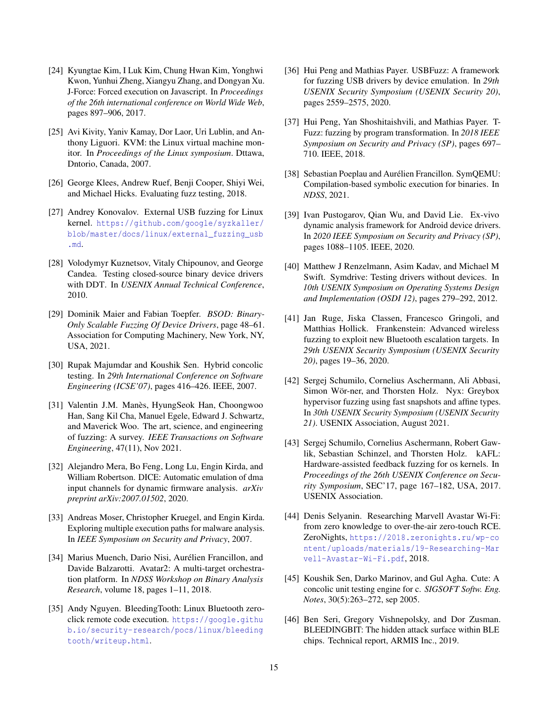- <span id="page-14-18"></span>[24] Kyungtae Kim, I Luk Kim, Chung Hwan Kim, Yonghwi Kwon, Yunhui Zheng, Xiangyu Zhang, and Dongyan Xu. J-Force: Forced execution on Javascript. In *Proceedings of the 26th international conference on World Wide Web*, pages 897–906, 2017.
- <span id="page-14-10"></span>[25] Avi Kivity, Yaniv Kamay, Dor Laor, Uri Lublin, and Anthony Liguori. KVM: the Linux virtual machine monitor. In *Proceedings of the Linux symposium*. Dttawa, Dntorio, Canada, 2007.
- <span id="page-14-14"></span>[26] George Klees, Andrew Ruef, Benji Cooper, Shiyi Wei, and Michael Hicks. Evaluating fuzz testing, 2018.
- <span id="page-14-17"></span>[27] Andrey Konovalov. External USB fuzzing for Linux kernel. [https://github.com/google/syzkaller/](https://github.com/google/syzkaller/blob/master/docs/linux/external_fuzzing_usb.md) [blob/master/docs/linux/external\\_fuzzing\\_usb](https://github.com/google/syzkaller/blob/master/docs/linux/external_fuzzing_usb.md) [.md](https://github.com/google/syzkaller/blob/master/docs/linux/external_fuzzing_usb.md).
- <span id="page-14-19"></span>[28] Volodymyr Kuznetsov, Vitaly Chipounov, and George Candea. Testing closed-source binary device drivers with DDT. In *USENIX Annual Technical Conference*, 2010.
- <span id="page-14-3"></span>[29] Dominik Maier and Fabian Toepfer. *BSOD: Binary-Only Scalable Fuzzing Of Device Drivers*, page 48–61. Association for Computing Machinery, New York, NY, USA, 2021.
- <span id="page-14-11"></span>[30] Rupak Majumdar and Koushik Sen. Hybrid concolic testing. In *29th International Conference on Software Engineering (ICSE'07)*, pages 416–426. IEEE, 2007.
- <span id="page-14-16"></span>[31] Valentin J.M. Manès, HyungSeok Han, Choongwoo Han, Sang Kil Cha, Manuel Egele, Edward J. Schwartz, and Maverick Woo. The art, science, and engineering of fuzzing: A survey. *IEEE Transactions on Software Engineering*, 47(11), Nov 2021.
- <span id="page-14-22"></span>[32] Alejandro Mera, Bo Feng, Long Lu, Engin Kirda, and William Robertson. DICE: Automatic emulation of dma input channels for dynamic firmware analysis. *arXiv preprint arXiv:2007.01502*, 2020.
- <span id="page-14-12"></span>[33] Andreas Moser, Christopher Kruegel, and Engin Kirda. Exploring multiple execution paths for malware analysis. In *IEEE Symposium on Security and Privacy*, 2007.
- <span id="page-14-20"></span>[34] Marius Muench, Dario Nisi, Aurélien Francillon, and Davide Balzarotti. Avatar2: A multi-target orchestration platform. In *NDSS Workshop on Binary Analysis Research*, volume 18, pages 1–11, 2018.
- <span id="page-14-1"></span>[35] Andy Nguyen. BleedingTooth: Linux Bluetooth zeroclick remote code execution. [https://google.githu](https://google.github.io/security-research/pocs/linux/bleedingtooth/writeup.html) [b.io/security-research/pocs/linux/bleeding](https://google.github.io/security-research/pocs/linux/bleedingtooth/writeup.html) [tooth/writeup.html](https://google.github.io/security-research/pocs/linux/bleedingtooth/writeup.html).
- <span id="page-14-9"></span>[36] Hui Peng and Mathias Payer. USBFuzz: A framework for fuzzing USB drivers by device emulation. In *29th USENIX Security Symposium (USENIX Security 20)*, pages 2559–2575, 2020.
- <span id="page-14-6"></span>[37] Hui Peng, Yan Shoshitaishvili, and Mathias Payer. T-Fuzz: fuzzing by program transformation. In *2018 IEEE Symposium on Security and Privacy (SP)*, pages 697– 710. IEEE, 2018.
- <span id="page-14-7"></span>[38] Sebastian Poeplau and Aurélien Francillon. SymQEMU: Compilation-based symbolic execution for binaries. In *NDSS*, 2021.
- <span id="page-14-4"></span>[39] Ivan Pustogarov, Qian Wu, and David Lie. Ex-vivo dynamic analysis framework for Android device drivers. In *2020 IEEE Symposium on Security and Privacy (SP)*, pages 1088–1105. IEEE, 2020.
- <span id="page-14-8"></span>[40] Matthew J Renzelmann, Asim Kadav, and Michael M Swift. Symdrive: Testing drivers without devices. In *10th USENIX Symposium on Operating Systems Design and Implementation (OSDI 12)*, pages 279–292, 2012.
- <span id="page-14-21"></span>[41] Jan Ruge, Jiska Classen, Francesco Gringoli, and Matthias Hollick. Frankenstein: Advanced wireless fuzzing to exploit new Bluetooth escalation targets. In *29th USENIX Security Symposium (USENIX Security 20)*, pages 19–36, 2020.
- <span id="page-14-15"></span>[42] Sergej Schumilo, Cornelius Aschermann, Ali Abbasi, Simon Wör-ner, and Thorsten Holz. Nyx: Greybox hypervisor fuzzing using fast snapshots and affine types. In *30th USENIX Security Symposium (USENIX Security 21)*. USENIX Association, August 2021.
- <span id="page-14-5"></span>[43] Sergej Schumilo, Cornelius Aschermann, Robert Gawlik, Sebastian Schinzel, and Thorsten Holz. kAFL: Hardware-assisted feedback fuzzing for os kernels. In *Proceedings of the 26th USENIX Conference on Security Symposium*, SEC'17, page 167–182, USA, 2017. USENIX Association.
- <span id="page-14-0"></span>[44] Denis Selyanin. Researching Marvell Avastar Wi-Fi: from zero knowledge to over-the-air zero-touch RCE. ZeroNights, [https://2018.zeronights.ru/wp-co](https://2018.zeronights.ru/wp-content/uploads/materials/19-Researching-Marvell-Avastar-Wi-Fi.pdf) [ntent/uploads/materials/19-Researching-Mar](https://2018.zeronights.ru/wp-content/uploads/materials/19-Researching-Marvell-Avastar-Wi-Fi.pdf) [vell-Avastar-Wi-Fi.pdf](https://2018.zeronights.ru/wp-content/uploads/materials/19-Researching-Marvell-Avastar-Wi-Fi.pdf), 2018.
- <span id="page-14-13"></span>[45] Koushik Sen, Darko Marinov, and Gul Agha. Cute: A concolic unit testing engine for c. *SIGSOFT Softw. Eng. Notes*, 30(5):263–272, sep 2005.
- <span id="page-14-2"></span>[46] Ben Seri, Gregory Vishnepolsky, and Dor Zusman. BLEEDINGBIT: The hidden attack surface within BLE chips. Technical report, ARMIS Inc., 2019.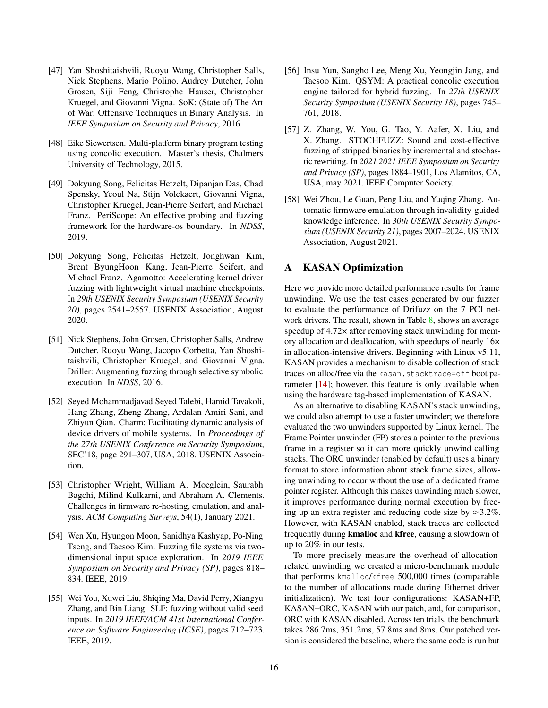- <span id="page-15-9"></span>[47] Yan Shoshitaishvili, Ruoyu Wang, Christopher Salls, Nick Stephens, Mario Polino, Audrey Dutcher, John Grosen, Siji Feng, Christophe Hauser, Christopher Kruegel, and Giovanni Vigna. SoK: (State of) The Art of War: Offensive Techniques in Binary Analysis. In *IEEE Symposium on Security and Privacy*, 2016.
- <span id="page-15-8"></span>[48] Eike Siewertsen. Multi-platform binary program testing using concolic execution. Master's thesis, Chalmers University of Technology, 2015.
- <span id="page-15-1"></span>[49] Dokyung Song, Felicitas Hetzelt, Dipanjan Das, Chad Spensky, Yeoul Na, Stijn Volckaert, Giovanni Vigna, Christopher Kruegel, Jean-Pierre Seifert, and Michael Franz. PeriScope: An effective probing and fuzzing framework for the hardware-os boundary. In *NDSS*, 2019.
- <span id="page-15-2"></span>[50] Dokyung Song, Felicitas Hetzelt, Jonghwan Kim, Brent ByungHoon Kang, Jean-Pierre Seifert, and Michael Franz. Agamotto: Accelerating kernel driver fuzzing with lightweight virtual machine checkpoints. In *29th USENIX Security Symposium (USENIX Security 20)*, pages 2541–2557. USENIX Association, August 2020.
- <span id="page-15-4"></span>[51] Nick Stephens, John Grosen, Christopher Salls, Andrew Dutcher, Ruoyu Wang, Jacopo Corbetta, Yan Shoshitaishvili, Christopher Kruegel, and Giovanni Vigna. Driller: Augmenting fuzzing through selective symbolic execution. In *NDSS*, 2016.
- <span id="page-15-3"></span>[52] Seyed Mohammadjavad Seyed Talebi, Hamid Tavakoli, Hang Zhang, Zheng Zhang, Ardalan Amiri Sani, and Zhiyun Qian. Charm: Facilitating dynamic analysis of device drivers of mobile systems. In *Proceedings of the 27th USENIX Conference on Security Symposium*, SEC'18, page 291–307, USA, 2018. USENIX Association.
- <span id="page-15-10"></span>[53] Christopher Wright, William A. Moeglein, Saurabh Bagchi, Milind Kulkarni, and Abraham A. Clements. Challenges in firmware re-hosting, emulation, and analysis. *ACM Computing Surveys*, 54(1), January 2021.
- <span id="page-15-0"></span>[54] Wen Xu, Hyungon Moon, Sanidhya Kashyap, Po-Ning Tseng, and Taesoo Kim. Fuzzing file systems via twodimensional input space exploration. In *2019 IEEE Symposium on Security and Privacy (SP)*, pages 818– 834. IEEE, 2019.
- <span id="page-15-6"></span>[55] Wei You, Xuwei Liu, Shiqing Ma, David Perry, Xiangyu Zhang, and Bin Liang. SLF: fuzzing without valid seed inputs. In *2019 IEEE/ACM 41st International Conference on Software Engineering (ICSE)*, pages 712–723. IEEE, 2019.
- <span id="page-15-5"></span>[56] Insu Yun, Sangho Lee, Meng Xu, Yeongjin Jang, and Taesoo Kim. QSYM: A practical concolic execution engine tailored for hybrid fuzzing. In *27th USENIX Security Symposium (USENIX Security 18)*, pages 745– 761, 2018.
- <span id="page-15-11"></span>[57] Z. Zhang, W. You, G. Tao, Y. Aafer, X. Liu, and X. Zhang. STOCHFUZZ: Sound and cost-effective fuzzing of stripped binaries by incremental and stochastic rewriting. In *2021 2021 IEEE Symposium on Security and Privacy (SP)*, pages 1884–1901, Los Alamitos, CA, USA, may 2021. IEEE Computer Society.
- <span id="page-15-12"></span>[58] Wei Zhou, Le Guan, Peng Liu, and Yuqing Zhang. Automatic firmware emulation through invalidity-guided knowledge inference. In *30th USENIX Security Symposium (USENIX Security 21)*, pages 2007–2024. USENIX Association, August 2021.

# <span id="page-15-7"></span>A KASAN Optimization

Here we provide more detailed performance results for frame unwinding. We use the test cases generated by our fuzzer to evaluate the performance of Drifuzz on the 7 PCI net-work drivers. The result, shown in Table [8,](#page-16-1) shows an average speedup of 4.72 $\times$  after removing stack unwinding for memory allocation and deallocation, with speedups of nearly 16× in allocation-intensive drivers. Beginning with Linux v5.11, KASAN provides a mechanism to disable collection of stack traces on alloc/free via the kasan.stacktrace=off boot pa-rameter [\[14\]](#page-13-21); however, this feature is only available when using the hardware tag-based implementation of KASAN.

As an alternative to disabling KASAN's stack unwinding, we could also attempt to use a faster unwinder; we therefore evaluated the two unwinders supported by Linux kernel. The Frame Pointer unwinder (FP) stores a pointer to the previous frame in a register so it can more quickly unwind calling stacks. The ORC unwinder (enabled by default) uses a binary format to store information about stack frame sizes, allowing unwinding to occur without the use of a dedicated frame pointer register. Although this makes unwinding much slower, it improves performance during normal execution by freeing up an extra register and reducing code size by  $\approx 3.2\%$ . However, with KASAN enabled, stack traces are collected frequently during kmalloc and kfree, causing a slowdown of up to 20% in our tests.

To more precisely measure the overhead of allocationrelated unwinding we created a micro-benchmark module that performs kmalloc/kfree 500,000 times (comparable to the number of allocations made during Ethernet driver initialization). We test four configurations: KASAN+FP, KASAN+ORC, KASAN with our patch, and, for comparison, ORC with KASAN disabled. Across ten trials, the benchmark takes 286.7ms, 351.2ms, 57.8ms and 8ms. Our patched version is considered the baseline, where the same code is run but